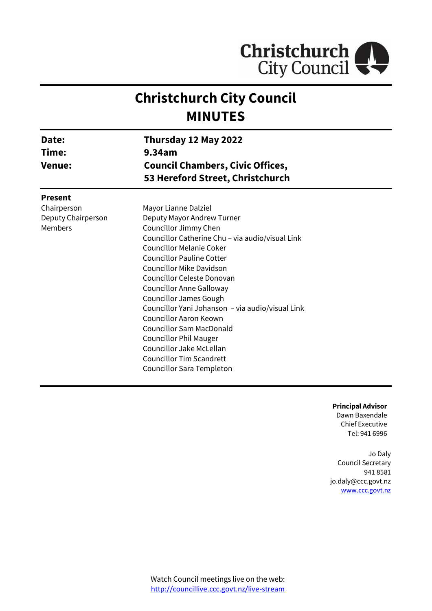

# **Christchurch City Council MINUTES**

| Date:<br>Time:<br><b>Venue:</b> | Thursday 12 May 2022<br>9.34am<br><b>Council Chambers, Civic Offices,</b><br>53 Hereford Street, Christchurch |  |
|---------------------------------|---------------------------------------------------------------------------------------------------------------|--|
| <b>Present</b>                  |                                                                                                               |  |
| Chairperson                     | Mayor Lianne Dalziel                                                                                          |  |
| Deputy Chairperson              | Deputy Mayor Andrew Turner                                                                                    |  |
| <b>Members</b>                  | Councillor Jimmy Chen                                                                                         |  |
|                                 | Councillor Catherine Chu - via audio/visual Link                                                              |  |
|                                 | <b>Councillor Melanie Coker</b>                                                                               |  |
|                                 | <b>Councillor Pauline Cotter</b>                                                                              |  |
|                                 | <b>Councillor Mike Davidson</b>                                                                               |  |
|                                 | Councillor Celeste Donovan                                                                                    |  |
|                                 | <b>Councillor Anne Galloway</b>                                                                               |  |
|                                 | <b>Councillor James Gough</b>                                                                                 |  |
|                                 | Councillor Yani Johanson - via audio/visual Link                                                              |  |
|                                 | <b>Councillor Aaron Keown</b>                                                                                 |  |
|                                 | <b>Councillor Sam MacDonald</b>                                                                               |  |
|                                 | <b>Councillor Phil Mauger</b>                                                                                 |  |
|                                 | Councillor Jake McLellan                                                                                      |  |
|                                 | <b>Councillor Tim Scandrett</b>                                                                               |  |
|                                 | Councillor Sara Templeton                                                                                     |  |

**Principal Advisor** Dawn Baxendale

Chief Executive Tel: 941 6996

Jo Daly Council Secretary 941 8581 jo.daly@ccc.govt.nz [www.ccc.govt.nz](http://www.ccc.govt.nz/)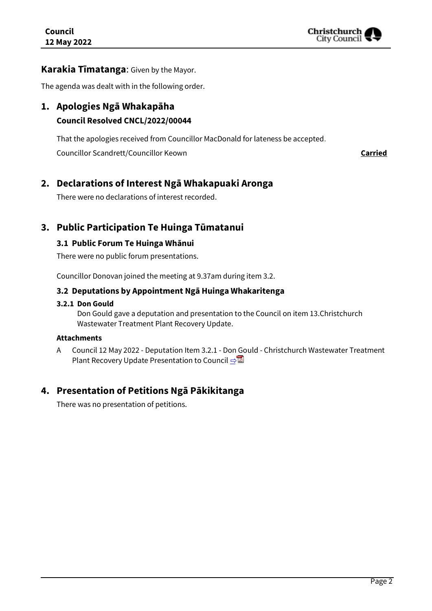

### **Karakia Tīmatanga**: Given by the Mayor.

The agenda was dealt with in the following order.

## **1. Apologies Ngā Whakapāha Council Resolved CNCL/2022/00044**

That the apologies received from Councillor MacDonald for lateness be accepted.

Councillor Scandrett/Councillor Keown **Carried** 

## **2. Declarations of Interest Ngā Whakapuaki Aronga**

There were no declarations of interest recorded.

## **3. Public Participation Te Huinga Tūmatanui**

### **3.1 Public Forum Te Huinga Whānui**

There were no public forum presentations.

Councillor Donovan joined the meeting at 9.37am during item 3.2.

#### **3.2 Deputations by Appointment Ngā Huinga Whakaritenga**

#### **3.2.1 Don Gould**

Don Gould gave a deputation and presentation to the Council on item 13.Christchurch Wastewater Treatment Plant Recovery Update.

#### **Attachments**

A Council 12 May 2022 - Deputation Item 3.2.1 - Don Gould - Christchurch Wastewater Treatment Plant Recovery Update Presentation to Council **[⇨](../../../RedirectToInvalidFileName.aspx?FileName=CNCL_20220512_MAT_7424.PDF#PAGE=3)</u>** 

## **4. Presentation of Petitions Ngā Pākikitanga**

There was no presentation of petitions.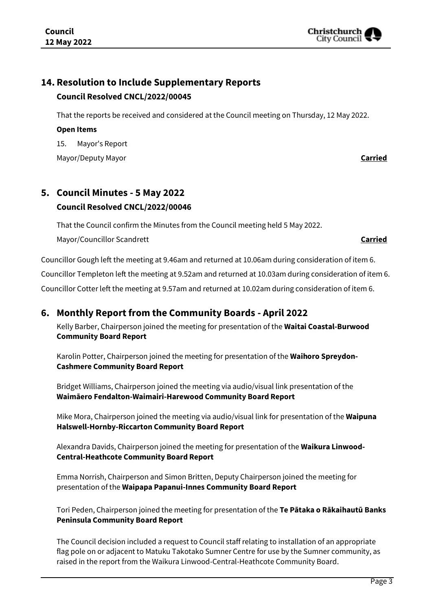## **14. Resolution to Include Supplementary Reports Council Resolved CNCL/2022/00045**

That the reports be received and considered at the Council meeting on Thursday, 12 May 2022.

#### **Open Items**

15. Mayor's Report

Mayor/Deputy Mayor **Carried**

## **5. Council Minutes - 5 May 2022 Council Resolved CNCL/2022/00046**

That the Council confirm the Minutes from the Council meeting held 5 May 2022. Mayor/Councillor Scandrett **Carried**

Councillor Gough left the meeting at 9.46am and returned at 10.06am during consideration of item 6.

Councillor Templeton left the meeting at 9.52am and returned at 10.03am during consideration of item 6.

Councillor Cotter left the meeting at 9.57am and returned at 10.02am during consideration of item 6.

## **6. Monthly Report from the Community Boards - April 2022**

Kelly Barber, Chairperson joined the meeting for presentation of the **Waitai Coastal-Burwood Community Board Report**

Karolin Potter, Chairperson joined the meeting for presentation of the **Waihoro Spreydon-Cashmere Community Board Report**

Bridget Williams, Chairperson joined the meeting via audio/visual link presentation of the **Waimāero Fendalton-Waimairi-Harewood Community Board Report**

Mike Mora, Chairperson joined the meeting via audio/visual link for presentation of the **Waipuna Halswell-Hornby-Riccarton Community Board Report**

Alexandra Davids, Chairperson joined the meeting for presentation of the **Waikura Linwood-Central-Heathcote Community Board Report**

Emma Norrish, Chairperson and Simon Britten, Deputy Chairperson joined the meeting for presentation of the **Waipapa Papanui-Innes Community Board Report**

Tori Peden, Chairperson joined the meeting for presentation of the **Te Pātaka o Rākaihautū Banks Peninsula Community Board Report**

The Council decision included a request to Council staff relating to installation of an appropriate flag pole on or adjacent to Matuku Takotako Sumner Centre for use by the Sumner community, as raised in the report from the Waikura Linwood-Central-Heathcote Community Board.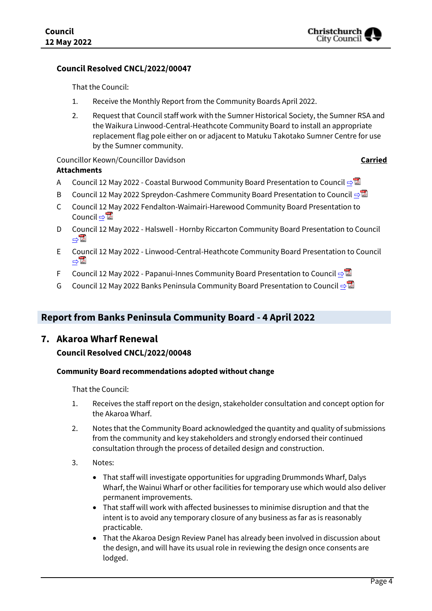#### **Council Resolved CNCL/2022/00047**

That the Council:

- 1. Receive the Monthly Report from the Community Boards April 2022.
- 2. Request that Council staff work with the Sumner Historical Society, the Sumner RSA and the Waikura Linwood-Central-Heathcote Community Board to install an appropriate replacement flag pole either on or adjacent to Matuku Takotako Sumner Centre for use by the Sumner community.

Councillor Keown/Councillor Davidson **Carried**

- **Attachments**
- A Council 12 May 2022 Coastal Burwood Community Board Presentation to Council **[⇨](../../../RedirectToInvalidFileName.aspx?FileName=CNCL_20220512_MAT_7424.PDF#PAGE=8)</u>।**
- B Council 12 May 2022 Spreydon-Cashmere Community Board Presentation to Council [⇨](../../../RedirectToInvalidFileName.aspx?FileName=CNCL_20220512_MAT_7424.PDF#PAGE=15)
- C Council 12 May 2022 Fendalton-Waimairi-Harewood Community Board Presentation to Council ⇒ **△**
- D Council 12 May 2022 Halswell Hornby Riccarton Community Board Presentation to Council [⇨](../../../RedirectToInvalidFileName.aspx?FileName=CNCL_20220512_MAT_7424.PDF#PAGE=28)
- E Council 12 May 2022 Linwood-Central-Heathcote Community Board Presentation to Council [⇨](../../../RedirectToInvalidFileName.aspx?FileName=CNCL_20220512_MAT_7424.PDF#PAGE=35)
- F Council 12 May 2022 Papanui-Innes Community Board Presentation to Council  $\triangle$
- G Council 12 May 2022 Banks Peninsula Community Board Presentation to Council  $\Rightarrow$

## **Report from Banks Peninsula Community Board - 4 April 2022**

#### **7. Akaroa Wharf Renewal**

#### **Council Resolved CNCL/2022/00048**

#### **Community Board recommendations adopted without change**

That the Council:

- 1. Receives the staff report on the design, stakeholder consultation and concept option for the Akaroa Wharf.
- 2. Notes that the Community Board acknowledged the quantity and quality of submissions from the community and key stakeholders and strongly endorsed their continued consultation through the process of detailed design and construction.
- 3. Notes:
	- That staff will investigate opportunities for upgrading Drummonds Wharf, Dalys Wharf, the Wainui Wharf or other facilities for temporary use which would also deliver permanent improvements.
	- That staff will work with affected businesses to minimise disruption and that the intent is to avoid any temporary closure of any business as far as is reasonably practicable.
	- That the Akaroa Design Review Panel has already been involved in discussion about the design, and will have its usual role in reviewing the design once consents are lodged.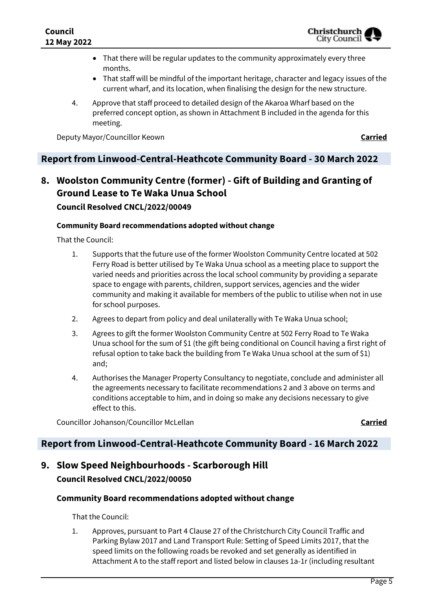- That there will be regular updates to the community approximately every three months.
- That staff will be mindful of the important heritage, character and legacy issues of the current wharf, and its location, when finalising the design for the new structure.
- 4. Approve that staff proceed to detailed design of the Akaroa Wharf based on the preferred concept option, as shown in Attachment B included in the agenda for this meeting.

Deputy Mayor/Councillor Keown **Carried**

## **Report from Linwood-Central-Heathcote Community Board - 30 March 2022**

## **8. Woolston Community Centre (former) - Gift of Building and Granting of Ground Lease to Te Waka Unua School Council Resolved CNCL/2022/00049**

## **Community Board recommendations adopted without change**

That the Council:

- 1. Supports that the future use of the former Woolston Community Centre located at 502 Ferry Road is better utilised by Te Waka Unua school as a meeting place to support the varied needs and priorities across the local school community by providing a separate space to engage with parents, children, support services, agencies and the wider community and making it available for members of the public to utilise when not in use for school purposes.
- 2. Agrees to depart from policy and deal unilaterally with Te Waka Unua school;
- 3. Agrees to gift the former Woolston Community Centre at 502 Ferry Road to Te Waka Unua school for the sum of \$1 (the gift being conditional on Council having a first right of refusal option to take back the building from Te Waka Unua school at the sum of \$1) and;
- 4. Authorises the Manager Property Consultancy to negotiate, conclude and administer all the agreements necessary to facilitate recommendations 2 and 3 above on terms and conditions acceptable to him, and in doing so make any decisions necessary to give effect to this.

Councillor Johanson/Councillor McLellan **Carried**

### **Report from Linwood-Central-Heathcote Community Board - 16 March 2022**

## **9. Slow Speed Neighbourhoods - Scarborough Hill Council Resolved CNCL/2022/00050**

#### **Community Board recommendations adopted without change**

That the Council:

1. Approves, pursuant to Part 4 Clause 27 of the Christchurch City Council Traffic and Parking Bylaw 2017 and Land Transport Rule: Setting of Speed Limits 2017, that the speed limits on the following roads be revoked and set generally as identified in Attachment A to the staff report and listed below in clauses 1a-1r (including resultant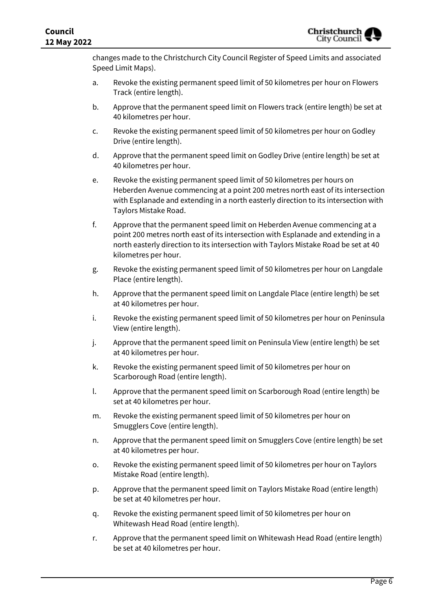changes made to the Christchurch City Council Register of Speed Limits and associated Speed Limit Maps).

- a. Revoke the existing permanent speed limit of 50 kilometres per hour on Flowers Track (entire length).
- b. Approve that the permanent speed limit on Flowers track (entire length) be set at 40 kilometres per hour.
- c. Revoke the existing permanent speed limit of 50 kilometres per hour on Godley Drive (entire length).
- d. Approve that the permanent speed limit on Godley Drive (entire length) be set at 40 kilometres per hour.
- e. Revoke the existing permanent speed limit of 50 kilometres per hours on Heberden Avenue commencing at a point 200 metres north east of its intersection with Esplanade and extending in a north easterly direction to its intersection with Taylors Mistake Road.
- f. Approve that the permanent speed limit on Heberden Avenue commencing at a point 200 metres north east of its intersection with Esplanade and extending in a north easterly direction to its intersection with Taylors Mistake Road be set at 40 kilometres per hour.
- g. Revoke the existing permanent speed limit of 50 kilometres per hour on Langdale Place (entire length).
- h. Approve that the permanent speed limit on Langdale Place (entire length) be set at 40 kilometres per hour.
- i. Revoke the existing permanent speed limit of 50 kilometres per hour on Peninsula View (entire length).
- j. Approve that the permanent speed limit on Peninsula View (entire length) be set at 40 kilometres per hour.
- k. Revoke the existing permanent speed limit of 50 kilometres per hour on Scarborough Road (entire length).
- l. Approve that the permanent speed limit on Scarborough Road (entire length) be set at 40 kilometres per hour.
- m. Revoke the existing permanent speed limit of 50 kilometres per hour on Smugglers Cove (entire length).
- n. Approve that the permanent speed limit on Smugglers Cove (entire length) be set at 40 kilometres per hour.
- o. Revoke the existing permanent speed limit of 50 kilometres per hour on Taylors Mistake Road (entire length).
- p. Approve that the permanent speed limit on Taylors Mistake Road (entire length) be set at 40 kilometres per hour.
- q. Revoke the existing permanent speed limit of 50 kilometres per hour on Whitewash Head Road (entire length).
- r. Approve that the permanent speed limit on Whitewash Head Road (entire length) be set at 40 kilometres per hour.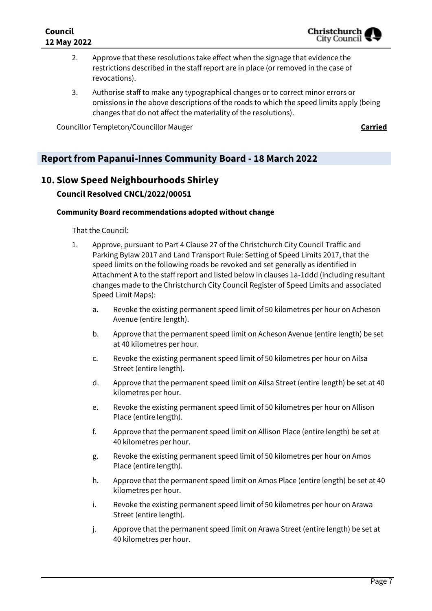- 2. Approve that these resolutions take effect when the signage that evidence the restrictions described in the staff report are in place (or removed in the case of revocations).
- 3. Authorise staff to make any typographical changes or to correct minor errors or omissions in the above descriptions of the roads to which the speed limits apply (being changes that do not affect the materiality of the resolutions).

Councillor Templeton/Councillor Mauger **Carried**

## **Report from Papanui-Innes Community Board - 18 March 2022**

## **10. Slow Speed Neighbourhoods Shirley**

### **Council Resolved CNCL/2022/00051**

#### **Community Board recommendations adopted without change**

That the Council:

- 1. Approve, pursuant to Part 4 Clause 27 of the Christchurch City Council Traffic and Parking Bylaw 2017 and Land Transport Rule: Setting of Speed Limits 2017, that the speed limits on the following roads be revoked and set generally as identified in Attachment A to the staff report and listed below in clauses 1a-1ddd (including resultant changes made to the Christchurch City Council Register of Speed Limits and associated Speed Limit Maps):
	- a. Revoke the existing permanent speed limit of 50 kilometres per hour on Acheson Avenue (entire length).
	- b. Approve that the permanent speed limit on Acheson Avenue (entire length) be set at 40 kilometres per hour.
	- c. Revoke the existing permanent speed limit of 50 kilometres per hour on Ailsa Street (entire length).
	- d. Approve that the permanent speed limit on Ailsa Street (entire length) be set at 40 kilometres per hour.
	- e. Revoke the existing permanent speed limit of 50 kilometres per hour on Allison Place (entire length).
	- f. Approve that the permanent speed limit on Allison Place (entire length) be set at 40 kilometres per hour.
	- g. Revoke the existing permanent speed limit of 50 kilometres per hour on Amos Place (entire length).
	- h. Approve that the permanent speed limit on Amos Place (entire length) be set at 40 kilometres per hour.
	- i. Revoke the existing permanent speed limit of 50 kilometres per hour on Arawa Street (entire length).
	- j. Approve that the permanent speed limit on Arawa Street (entire length) be set at 40 kilometres per hour.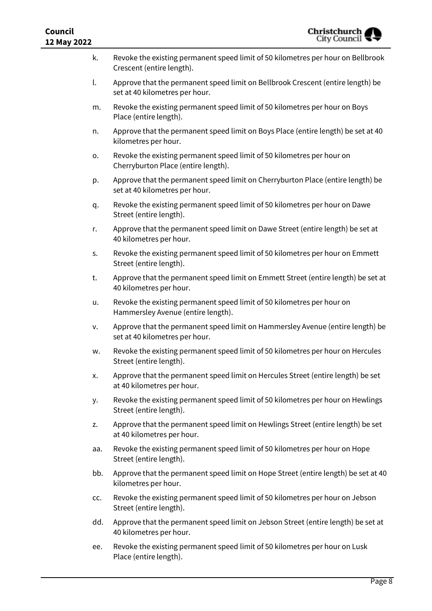| <b>Council</b><br><b>Christchurch</b><br>City Council<br>12 May 2022 |                                                                                                                   |
|----------------------------------------------------------------------|-------------------------------------------------------------------------------------------------------------------|
| k.                                                                   | Revoke the existing permanent speed limit of 50 kilometres per hour on Bellbrook<br>Crescent (entire length).     |
| l.                                                                   | Approve that the permanent speed limit on Bellbrook Crescent (entire length) be<br>set at 40 kilometres per hour. |
| m.                                                                   | Revoke the existing permanent speed limit of 50 kilometres per hour on Boys<br>Place (entire length).             |
| n.                                                                   | Approve that the permanent speed limit on Boys Place (entire length) be set at 40<br>kilometres per hour.         |
| ο.                                                                   | Revoke the existing permanent speed limit of 50 kilometres per hour on<br>Cherryburton Place (entire length).     |
| p.                                                                   | Approve that the permanent speed limit on Cherryburton Place (entire length) be<br>set at 40 kilometres per hour. |
| q.                                                                   | Revoke the existing permanent speed limit of 50 kilometres per hour on Dawe<br>Street (entire length).            |
| r.                                                                   | Approve that the permanent speed limit on Dawe Street (entire length) be set at<br>40 kilometres per hour.        |
| S.                                                                   | Revoke the existing permanent speed limit of 50 kilometres per hour on Emmett<br>Street (entire length).          |
| t.                                                                   | Approve that the permanent speed limit on Emmett Street (entire length) be set at<br>40 kilometres per hour.      |
| u.                                                                   | Revoke the existing permanent speed limit of 50 kilometres per hour on<br>Hammersley Avenue (entire length).      |
| v.                                                                   | Approve that the permanent speed limit on Hammersley Avenue (entire length) be<br>set at 40 kilometres per hour.  |
| w.                                                                   | Revoke the existing permanent speed limit of 50 kilometres per hour on Hercules<br>Street (entire length).        |
| х.                                                                   | Approve that the permanent speed limit on Hercules Street (entire length) be set<br>at 40 kilometres per hour.    |
| у.                                                                   | Revoke the existing permanent speed limit of 50 kilometres per hour on Hewlings<br>Street (entire length).        |
| z.                                                                   | Approve that the permanent speed limit on Hewlings Street (entire length) be set<br>at 40 kilometres per hour.    |
| aa.                                                                  | Revoke the existing permanent speed limit of 50 kilometres per hour on Hope<br>Street (entire length).            |
| bb.                                                                  | Approve that the permanent speed limit on Hope Street (entire length) be set at 40<br>kilometres per hour.        |
| CC.                                                                  | Revoke the existing permanent speed limit of 50 kilometres per hour on Jebson<br>Street (entire length).          |
| dd.                                                                  | Approve that the permanent speed limit on Jebson Street (entire length) be set at<br>40 kilometres per hour.      |
| ee.                                                                  | Revoke the existing permanent speed limit of 50 kilometres per hour on Lusk<br>Place (entire length).             |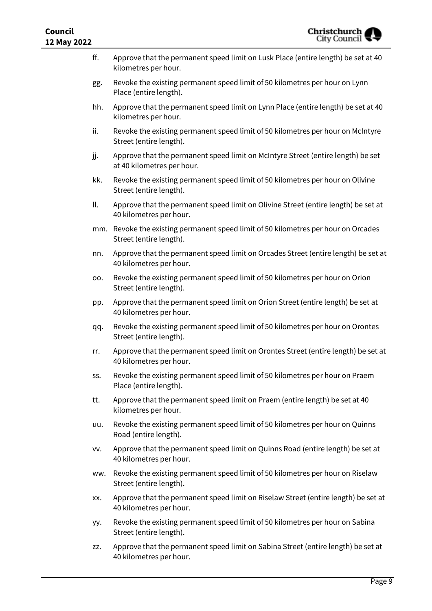| Christchurch<br>City Council<br>Council<br>12 May 2022 |     |                                                                                                                |
|--------------------------------------------------------|-----|----------------------------------------------------------------------------------------------------------------|
|                                                        | ff. | Approve that the permanent speed limit on Lusk Place (entire length) be set at 40<br>kilometres per hour.      |
|                                                        | gg. | Revoke the existing permanent speed limit of 50 kilometres per hour on Lynn<br>Place (entire length).          |
|                                                        | hh. | Approve that the permanent speed limit on Lynn Place (entire length) be set at 40<br>kilometres per hour.      |
|                                                        | ii. | Revoke the existing permanent speed limit of 50 kilometres per hour on McIntyre<br>Street (entire length).     |
|                                                        | jj. | Approve that the permanent speed limit on McIntyre Street (entire length) be set<br>at 40 kilometres per hour. |
|                                                        | kk. | Revoke the existing permanent speed limit of 50 kilometres per hour on Olivine<br>Street (entire length).      |
|                                                        | ll. | Approve that the permanent speed limit on Olivine Street (entire length) be set at<br>40 kilometres per hour.  |
|                                                        |     | mm. Revoke the existing permanent speed limit of 50 kilometres per hour on Orcades<br>Street (entire length).  |
|                                                        | nn. | Approve that the permanent speed limit on Orcades Street (entire length) be set at<br>40 kilometres per hour.  |
|                                                        | 00. | Revoke the existing permanent speed limit of 50 kilometres per hour on Orion<br>Street (entire length).        |
|                                                        | pp. | Approve that the permanent speed limit on Orion Street (entire length) be set at<br>40 kilometres per hour.    |
|                                                        | qq. | Revoke the existing permanent speed limit of 50 kilometres per hour on Orontes<br>Street (entire length).      |
|                                                        | rr. | Approve that the permanent speed limit on Orontes Street (entire length) be set at<br>40 kilometres per hour.  |
|                                                        | SS. | Revoke the existing permanent speed limit of 50 kilometres per hour on Praem<br>Place (entire length).         |
|                                                        | tt. | Approve that the permanent speed limit on Praem (entire length) be set at 40<br>kilometres per hour.           |
|                                                        | uu. | Revoke the existing permanent speed limit of 50 kilometres per hour on Quinns<br>Road (entire length).         |
|                                                        | VV. | Approve that the permanent speed limit on Quinns Road (entire length) be set at<br>40 kilometres per hour.     |
|                                                        | ww. | Revoke the existing permanent speed limit of 50 kilometres per hour on Riselaw<br>Street (entire length).      |
|                                                        | XX. | Approve that the permanent speed limit on Riselaw Street (entire length) be set at<br>40 kilometres per hour.  |
|                                                        | yy. | Revoke the existing permanent speed limit of 50 kilometres per hour on Sabina<br>Street (entire length).       |
|                                                        | ZZ. | Approve that the permanent speed limit on Sabina Street (entire length) be set at<br>40 kilometres per hour.   |
|                                                        |     |                                                                                                                |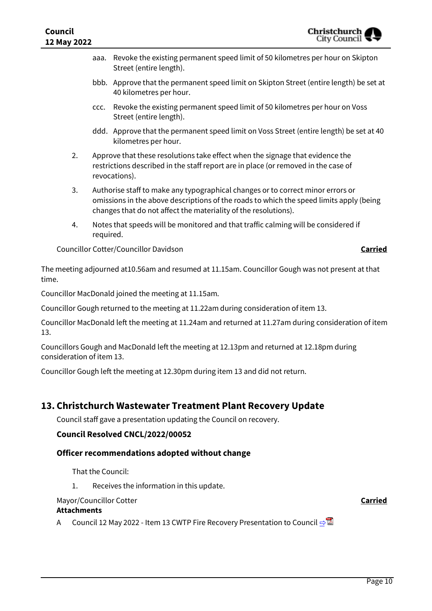- aaa. Revoke the existing permanent speed limit of 50 kilometres per hour on Skipton Street (entire length).
- bbb. Approve that the permanent speed limit on Skipton Street (entire length) be set at 40 kilometres per hour.
- ccc. Revoke the existing permanent speed limit of 50 kilometres per hour on Voss Street (entire length).
- ddd. Approve that the permanent speed limit on Voss Street (entire length) be set at 40 kilometres per hour.
- 2. Approve that these resolutions take effect when the signage that evidence the restrictions described in the staff report are in place (or removed in the case of revocations).
- 3. Authorise staff to make any typographical changes or to correct minor errors or omissions in the above descriptions of the roads to which the speed limits apply (being changes that do not affect the materiality of the resolutions).
- 4. Notes that speeds will be monitored and that traffic calming will be considered if required.

Councillor Cotter/Councillor Davidson **Carried**

The meeting adjourned at10.56am and resumed at 11.15am. Councillor Gough was not present at that time.

Councillor MacDonald joined the meeting at 11.15am.

Councillor Gough returned to the meeting at 11.22am during consideration of item 13.

Councillor MacDonald left the meeting at 11.24am and returned at 11.27am during consideration of item 13.

Councillors Gough and MacDonald left the meeting at 12.13pm and returned at 12.18pm during consideration of item 13.

Councillor Gough left the meeting at 12.30pm during item 13 and did not return.

## **13. Christchurch Wastewater Treatment Plant Recovery Update**

Council staff gave a presentation updating the Council on recovery.

#### **Council Resolved CNCL/2022/00052**

#### **Officer recommendations adopted without change**

That the Council:

1. Receives the information in this update.

#### Mayor/Councillor Cotter **Carried**

#### **Attachments**

A Council 12 May 2022 - Item 13 CWTP Fire Recovery Presentation to Council **[⇨](../../../RedirectToInvalidFileName.aspx?FileName=CNCL_20220512_MAT_7424.PDF#PAGE=59)</u>법**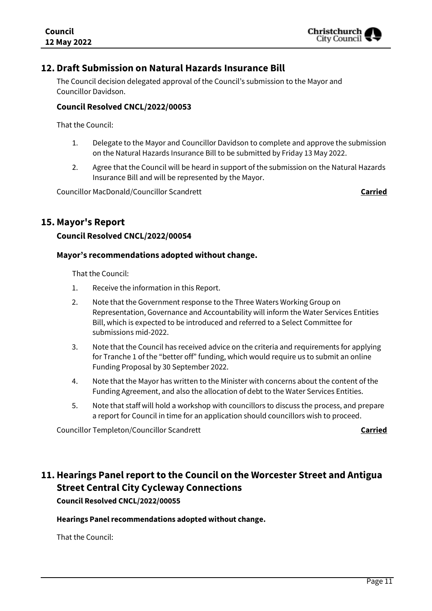

## **12. Draft Submission on Natural Hazards Insurance Bill**

The Council decision delegated approval of the Council's submission to the Mayor and Councillor Davidson.

#### **Council Resolved CNCL/2022/00053**

That the Council:

- 1. Delegate to the Mayor and Councillor Davidson to complete and approve the submission on the Natural Hazards Insurance Bill to be submitted by Friday 13 May 2022.
- 2. Agree that the Council will be heard in support of the submission on the Natural Hazards Insurance Bill and will be represented by the Mayor.

Councillor MacDonald/Councillor Scandrett **Carried**

### **15. Mayor's Report**

#### **Council Resolved CNCL/2022/00054**

#### **Mayor's recommendations adopted without change.**

That the Council:

- 1. Receive the information in this Report.
- 2. Note that the Government response to the Three Waters Working Group on Representation, Governance and Accountability will inform the Water Services Entities Bill, which is expected to be introduced and referred to a Select Committee for submissions mid-2022.
- 3. Note that the Council has received advice on the criteria and requirements for applying for Tranche 1 of the "better off" funding, which would require us to submit an online Funding Proposal by 30 September 2022.
- 4. Note that the Mayor has written to the Minister with concerns about the content of the Funding Agreement, and also the allocation of debt to the Water Services Entities.
- 5. Note that staff will hold a workshop with councillors to discuss the process, and prepare a report for Council in time for an application should councillors wish to proceed.

Councillor Templeton/Councillor Scandrett **Carried**

## **11.Hearings Panel report to the Council on the Worcester Street and Antigua Street Central City Cycleway Connections**

**Council Resolved CNCL/2022/00055**

#### **Hearings Panel recommendations adopted without change.**

That the Council: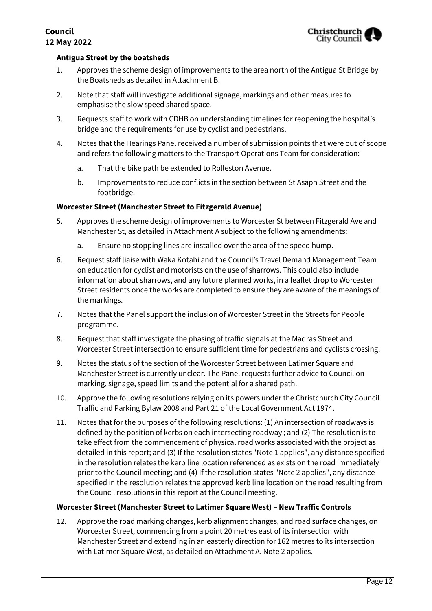

#### **Antigua Street by the boatsheds**

- 1. Approves the scheme design of improvements to the area north of the Antigua St Bridge by the Boatsheds as detailed in Attachment B.
- 2. Note that staff will investigate additional signage, markings and other measures to emphasise the slow speed shared space.
- 3. Requests staff to work with CDHB on understanding timelines for reopening the hospital's bridge and the requirements for use by cyclist and pedestrians.
- 4. Notes that the Hearings Panel received a number of submission points that were out of scope and refers the following matters to the Transport Operations Team for consideration:
	- a. That the bike path be extended to Rolleston Avenue.
	- b. Improvements to reduce conflicts in the section between St Asaph Street and the footbridge.

#### **Worcester Street (Manchester Street to Fitzgerald Avenue)**

- 5. Approves the scheme design of improvements to Worcester St between Fitzgerald Ave and Manchester St, as detailed in Attachment A subject to the following amendments:
	- a. Ensure no stopping lines are installed over the area of the speed hump.
- 6. Request staff liaise with Waka Kotahi and the Council's Travel Demand Management Team on education for cyclist and motorists on the use of sharrows. This could also include information about sharrows, and any future planned works, in a leaflet drop to Worcester Street residents once the works are completed to ensure they are aware of the meanings of the markings.
- 7. Notes that the Panel support the inclusion of Worcester Street in the Streets for People programme.
- 8. Request that staff investigate the phasing of traffic signals at the Madras Street and Worcester Street intersection to ensure sufficient time for pedestrians and cyclists crossing.
- 9. Notes the status of the section of the Worcester Street between Latimer Square and Manchester Street is currently unclear. The Panel requests further advice to Council on marking, signage, speed limits and the potential for a shared path.
- 10. Approve the following resolutions relying on its powers under the Christchurch City Council Traffic and Parking Bylaw 2008 and Part 21 of the Local Government Act 1974.
- 11. Notes that for the purposes of the following resolutions: (1) An intersection of roadways is defined by the position of kerbs on each intersecting roadway ; and (2) The resolution is to take effect from the commencement of physical road works associated with the project as detailed in this report; and (3) If the resolution states "Note 1 applies", any distance specified in the resolution relates the kerb line location referenced as exists on the road immediately prior to the Council meeting; and (4) If the resolution states "Note 2 applies", any distance specified in the resolution relates the approved kerb line location on the road resulting from the Council resolutions in this report at the Council meeting.

#### **Worcester Street (Manchester Street to Latimer Square West) – New Traffic Controls**

12. Approve the road marking changes, kerb alignment changes, and road surface changes, on Worcester Street, commencing from a point 20 metres east of its intersection with Manchester Street and extending in an easterly direction for 162 metres to its intersection with Latimer Square West, as detailed on Attachment A. Note 2 applies.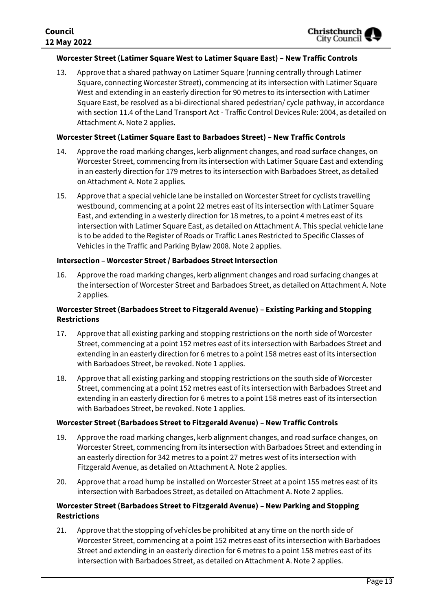#### **Worcester Street (Latimer Square West to Latimer Square East) – New Traffic Controls**

13. Approve that a shared pathway on Latimer Square (running centrally through Latimer Square, connecting Worcester Street), commencing at its intersection with Latimer Square West and extending in an easterly direction for 90 metres to its intersection with Latimer Square East, be resolved as a bi-directional shared pedestrian/ cycle pathway, in accordance with section 11.4 of the Land Transport Act - Traffic Control Devices Rule: 2004, as detailed on Attachment A. Note 2 applies.

#### **Worcester Street (Latimer Square East to Barbadoes Street) – New Traffic Controls**

- 14. Approve the road marking changes, kerb alignment changes, and road surface changes, on Worcester Street, commencing from its intersection with Latimer Square East and extending in an easterly direction for 179 metres to its intersection with Barbadoes Street, as detailed on Attachment A. Note 2 applies.
- 15. Approve that a special vehicle lane be installed on Worcester Street for cyclists travelling westbound, commencing at a point 22 metres east of its intersection with Latimer Square East, and extending in a westerly direction for 18 metres, to a point 4 metres east of its intersection with Latimer Square East, as detailed on Attachment A. This special vehicle lane is to be added to the Register of Roads or Traffic Lanes Restricted to Specific Classes of Vehicles in the Traffic and Parking Bylaw 2008. Note 2 applies.

#### **Intersection – Worcester Street / Barbadoes Street Intersection**

16. Approve the road marking changes, kerb alignment changes and road surfacing changes at the intersection of Worcester Street and Barbadoes Street, as detailed on Attachment A. Note 2 applies.

#### **Worcester Street (Barbadoes Street to Fitzgerald Avenue) – Existing Parking and Stopping Restrictions**

- 17. Approve that all existing parking and stopping restrictions on the north side of Worcester Street, commencing at a point 152 metres east of its intersection with Barbadoes Street and extending in an easterly direction for 6 metres to a point 158 metres east of its intersection with Barbadoes Street, be revoked. Note 1 applies.
- 18. Approve that all existing parking and stopping restrictions on the south side of Worcester Street, commencing at a point 152 metres east of its intersection with Barbadoes Street and extending in an easterly direction for 6 metres to a point 158 metres east of its intersection with Barbadoes Street, be revoked. Note 1 applies.

#### **Worcester Street (Barbadoes Street to Fitzgerald Avenue) – New Traffic Controls**

- 19. Approve the road marking changes, kerb alignment changes, and road surface changes, on Worcester Street, commencing from its intersection with Barbadoes Street and extending in an easterly direction for 342 metres to a point 27 metres west of its intersection with Fitzgerald Avenue, as detailed on Attachment A. Note 2 applies.
- 20. Approve that a road hump be installed on Worcester Street at a point 155 metres east of its intersection with Barbadoes Street, as detailed on Attachment A. Note 2 applies.

#### **Worcester Street (Barbadoes Street to Fitzgerald Avenue) – New Parking and Stopping Restrictions**

21. Approve that the stopping of vehicles be prohibited at any time on the north side of Worcester Street, commencing at a point 152 metres east of its intersection with Barbadoes Street and extending in an easterly direction for 6 metres to a point 158 metres east of its intersection with Barbadoes Street, as detailed on Attachment A. Note 2 applies.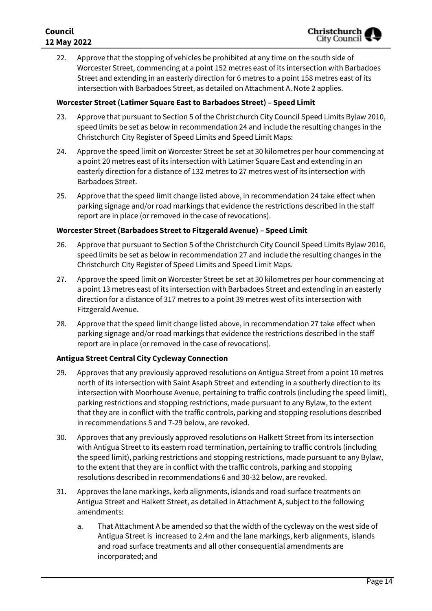22. Approve that the stopping of vehicles be prohibited at any time on the south side of Worcester Street, commencing at a point 152 metres east of its intersection with Barbadoes Street and extending in an easterly direction for 6 metres to a point 158 metres east of its intersection with Barbadoes Street, as detailed on Attachment A. Note 2 applies.

#### **Worcester Street (Latimer Square East to Barbadoes Street) – Speed Limit**

- 23. Approve that pursuant to Section 5 of the Christchurch City Council Speed Limits Bylaw 2010, speed limits be set as below in recommendation 24 and include the resulting changes in the Christchurch City Register of Speed Limits and Speed Limit Maps:
- 24. Approve the speed limit on Worcester Street be set at 30 kilometres per hour commencing at a point 20 metres east of its intersection with Latimer Square East and extending in an easterly direction for a distance of 132 metres to 27 metres west of its intersection with Barbadoes Street.
- 25. Approve that the speed limit change listed above, in recommendation 24 take effect when parking signage and/or road markings that evidence the restrictions described in the staff report are in place (or removed in the case of revocations).

#### **Worcester Street (Barbadoes Street to Fitzgerald Avenue) – Speed Limit**

- 26. Approve that pursuant to Section 5 of the Christchurch City Council Speed Limits Bylaw 2010, speed limits be set as below in recommendation 27 and include the resulting changes in the Christchurch City Register of Speed Limits and Speed Limit Maps.
- 27. Approve the speed limit on Worcester Street be set at 30 kilometres per hour commencing at a point 13 metres east of its intersection with Barbadoes Street and extending in an easterly direction for a distance of 317 metres to a point 39 metres west of its intersection with Fitzgerald Avenue.
- 28. Approve that the speed limit change listed above, in recommendation 27 take effect when parking signage and/or road markings that evidence the restrictions described in the staff report are in place (or removed in the case of revocations).

#### **Antigua Street Central City Cycleway Connection**

- 29. Approves that any previously approved resolutions on Antigua Street from a point 10 metres north of its intersection with Saint Asaph Street and extending in a southerly direction to its intersection with Moorhouse Avenue, pertaining to traffic controls (including the speed limit), parking restrictions and stopping restrictions, made pursuant to any Bylaw, to the extent that they are in conflict with the traffic controls, parking and stopping resolutions described in recommendations 5 and 7-29 below, are revoked.
- 30. Approves that any previously approved resolutions on Halkett Street from its intersection with Antigua Street to its eastern road termination, pertaining to traffic controls (including the speed limit), parking restrictions and stopping restrictions, made pursuant to any Bylaw, to the extent that they are in conflict with the traffic controls, parking and stopping resolutions described in recommendations 6 and 30-32 below, are revoked.
- 31. Approves the lane markings, kerb alignments, islands and road surface treatments on Antigua Street and Halkett Street, as detailed in Attachment A, subject to the following amendments:
	- a. That Attachment A be amended so that the width of the cycleway on the west side of Antigua Street is increased to 2.4m and the lane markings, kerb alignments, islands and road surface treatments and all other consequential amendments are incorporated; and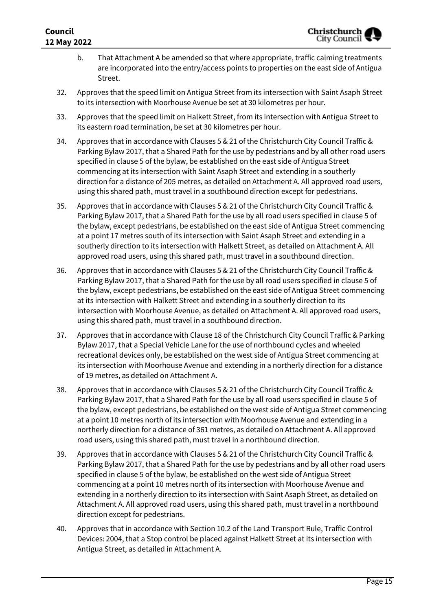### **Council 12 May 2022**

- b. That Attachment A be amended so that where appropriate, traffic calming treatments are incorporated into the entry/access points to properties on the east side of Antigua Street.
- 32. Approves that the speed limit on Antigua Street from its intersection with Saint Asaph Street to its intersection with Moorhouse Avenue be set at 30 kilometres per hour.
- 33. Approves that the speed limit on Halkett Street, from its intersection with Antigua Street to its eastern road termination, be set at 30 kilometres per hour.
- 34. Approves that in accordance with Clauses 5 & 21 of the Christchurch City Council Traffic & Parking Bylaw 2017, that a Shared Path for the use by pedestrians and by all other road users specified in clause 5 of the bylaw, be established on the east side of Antigua Street commencing at its intersection with Saint Asaph Street and extending in a southerly direction for a distance of 205 metres, as detailed on Attachment A. All approved road users, using this shared path, must travel in a southbound direction except for pedestrians.
- 35. Approves that in accordance with Clauses 5 & 21 of the Christchurch City Council Traffic & Parking Bylaw 2017, that a Shared Path for the use by all road users specified in clause 5 of the bylaw, except pedestrians, be established on the east side of Antigua Street commencing at a point 17 metres south of its intersection with Saint Asaph Street and extending in a southerly direction to its intersection with Halkett Street, as detailed on Attachment A. All approved road users, using this shared path, must travel in a southbound direction.
- 36. Approves that in accordance with Clauses 5 & 21 of the Christchurch City Council Traffic & Parking Bylaw 2017, that a Shared Path for the use by all road users specified in clause 5 of the bylaw, except pedestrians, be established on the east side of Antigua Street commencing at its intersection with Halkett Street and extending in a southerly direction to its intersection with Moorhouse Avenue, as detailed on Attachment A. All approved road users, using this shared path, must travel in a southbound direction.
- 37. Approves that in accordance with Clause 18 of the Christchurch City Council Traffic & Parking Bylaw 2017, that a Special Vehicle Lane for the use of northbound cycles and wheeled recreational devices only, be established on the west side of Antigua Street commencing at its intersection with Moorhouse Avenue and extending in a northerly direction for a distance of 19 metres, as detailed on Attachment A.
- 38. Approves that in accordance with Clauses 5 & 21 of the Christchurch City Council Traffic & Parking Bylaw 2017, that a Shared Path for the use by all road users specified in clause 5 of the bylaw, except pedestrians, be established on the west side of Antigua Street commencing at a point 10 metres north of its intersection with Moorhouse Avenue and extending in a northerly direction for a distance of 361 metres, as detailed on Attachment A. All approved road users, using this shared path, must travel in a northbound direction.
- 39. Approves that in accordance with Clauses 5 & 21 of the Christchurch City Council Traffic & Parking Bylaw 2017, that a Shared Path for the use by pedestrians and by all other road users specified in clause 5 of the bylaw, be established on the west side of Antigua Street commencing at a point 10 metres north of its intersection with Moorhouse Avenue and extending in a northerly direction to its intersection with Saint Asaph Street, as detailed on Attachment A. All approved road users, using this shared path, must travel in a northbound direction except for pedestrians.
- 40. Approves that in accordance with Section 10.2 of the Land Transport Rule, Traffic Control Devices: 2004, that a Stop control be placed against Halkett Street at its intersection with Antigua Street, as detailed in Attachment A.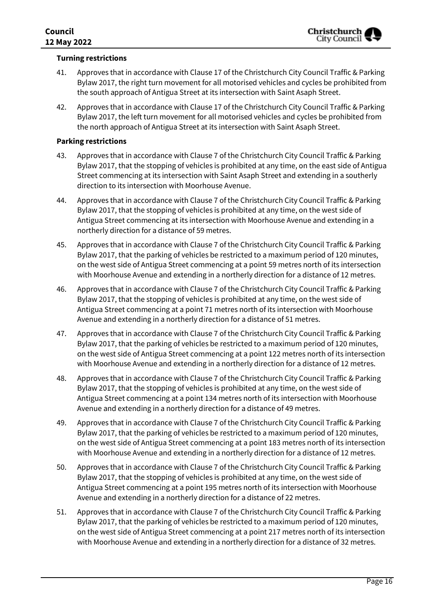#### **Turning restrictions**

- 41. Approves that in accordance with Clause 17 of the Christchurch City Council Traffic & Parking Bylaw 2017, the right turn movement for all motorised vehicles and cycles be prohibited from the south approach of Antigua Street at its intersection with Saint Asaph Street.
- 42. Approves that in accordance with Clause 17 of the Christchurch City Council Traffic & Parking Bylaw 2017, the left turn movement for all motorised vehicles and cycles be prohibited from the north approach of Antigua Street at its intersection with Saint Asaph Street.

#### **Parking restrictions**

- 43. Approves that in accordance with Clause 7 of the Christchurch City Council Traffic & Parking Bylaw 2017, that the stopping of vehicles is prohibited at any time, on the east side of Antigua Street commencing at its intersection with Saint Asaph Street and extending in a southerly direction to its intersection with Moorhouse Avenue.
- 44. Approves that in accordance with Clause 7 of the Christchurch City Council Traffic & Parking Bylaw 2017, that the stopping of vehicles is prohibited at any time, on the west side of Antigua Street commencing at its intersection with Moorhouse Avenue and extending in a northerly direction for a distance of 59 metres.
- 45. Approves that in accordance with Clause 7 of the Christchurch City Council Traffic & Parking Bylaw 2017, that the parking of vehicles be restricted to a maximum period of 120 minutes, on the west side of Antigua Street commencing at a point 59 metres north of its intersection with Moorhouse Avenue and extending in a northerly direction for a distance of 12 metres.
- 46. Approves that in accordance with Clause 7 of the Christchurch City Council Traffic & Parking Bylaw 2017, that the stopping of vehicles is prohibited at any time, on the west side of Antigua Street commencing at a point 71 metres north of its intersection with Moorhouse Avenue and extending in a northerly direction for a distance of 51 metres.
- 47. Approves that in accordance with Clause 7 of the Christchurch City Council Traffic & Parking Bylaw 2017, that the parking of vehicles be restricted to a maximum period of 120 minutes, on the west side of Antigua Street commencing at a point 122 metres north of its intersection with Moorhouse Avenue and extending in a northerly direction for a distance of 12 metres.
- 48. Approves that in accordance with Clause 7 of the Christchurch City Council Traffic & Parking Bylaw 2017, that the stopping of vehicles is prohibited at any time, on the west side of Antigua Street commencing at a point 134 metres north of its intersection with Moorhouse Avenue and extending in a northerly direction for a distance of 49 metres.
- 49. Approves that in accordance with Clause 7 of the Christchurch City Council Traffic & Parking Bylaw 2017, that the parking of vehicles be restricted to a maximum period of 120 minutes, on the west side of Antigua Street commencing at a point 183 metres north of its intersection with Moorhouse Avenue and extending in a northerly direction for a distance of 12 metres.
- 50. Approves that in accordance with Clause 7 of the Christchurch City Council Traffic & Parking Bylaw 2017, that the stopping of vehicles is prohibited at any time, on the west side of Antigua Street commencing at a point 195 metres north of its intersection with Moorhouse Avenue and extending in a northerly direction for a distance of 22 metres.
- 51. Approves that in accordance with Clause 7 of the Christchurch City Council Traffic & Parking Bylaw 2017, that the parking of vehicles be restricted to a maximum period of 120 minutes, on the west side of Antigua Street commencing at a point 217 metres north of its intersection with Moorhouse Avenue and extending in a northerly direction for a distance of 32 metres.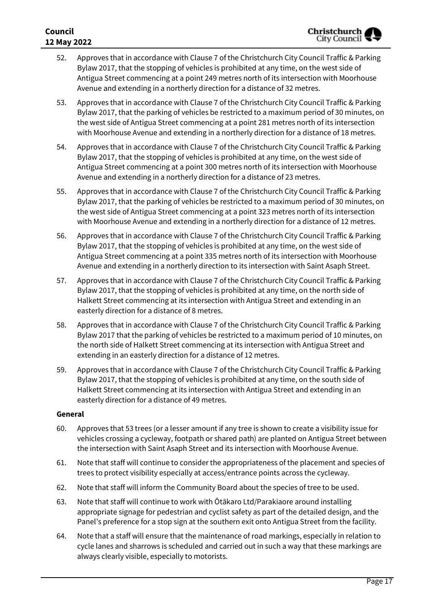#### **Council 12 May 2022**

- 52. Approves that in accordance with Clause 7 of the Christchurch City Council Traffic & Parking Bylaw 2017, that the stopping of vehicles is prohibited at any time, on the west side of Antigua Street commencing at a point 249 metres north of its intersection with Moorhouse Avenue and extending in a northerly direction for a distance of 32 metres.
- 53. Approves that in accordance with Clause 7 of the Christchurch City Council Traffic & Parking Bylaw 2017, that the parking of vehicles be restricted to a maximum period of 30 minutes, on the west side of Antigua Street commencing at a point 281 metres north of its intersection with Moorhouse Avenue and extending in a northerly direction for a distance of 18 metres.
- 54. Approves that in accordance with Clause 7 of the Christchurch City Council Traffic & Parking Bylaw 2017, that the stopping of vehicles is prohibited at any time, on the west side of Antigua Street commencing at a point 300 metres north of its intersection with Moorhouse Avenue and extending in a northerly direction for a distance of 23 metres.
- 55. Approves that in accordance with Clause 7 of the Christchurch City Council Traffic & Parking Bylaw 2017, that the parking of vehicles be restricted to a maximum period of 30 minutes, on the west side of Antigua Street commencing at a point 323 metres north of its intersection with Moorhouse Avenue and extending in a northerly direction for a distance of 12 metres.
- 56. Approves that in accordance with Clause 7 of the Christchurch City Council Traffic & Parking Bylaw 2017, that the stopping of vehicles is prohibited at any time, on the west side of Antigua Street commencing at a point 335 metres north of its intersection with Moorhouse Avenue and extending in a northerly direction to its intersection with Saint Asaph Street.
- 57. Approves that in accordance with Clause 7 of the Christchurch City Council Traffic & Parking Bylaw 2017, that the stopping of vehicles is prohibited at any time, on the north side of Halkett Street commencing at its intersection with Antigua Street and extending in an easterly direction for a distance of 8 metres.
- 58. Approves that in accordance with Clause 7 of the Christchurch City Council Traffic & Parking Bylaw 2017 that the parking of vehicles be restricted to a maximum period of 10 minutes, on the north side of Halkett Street commencing at its intersection with Antigua Street and extending in an easterly direction for a distance of 12 metres.
- 59. Approves that in accordance with Clause 7 of the Christchurch City Council Traffic & Parking Bylaw 2017, that the stopping of vehicles is prohibited at any time, on the south side of Halkett Street commencing at its intersection with Antigua Street and extending in an easterly direction for a distance of 49 metres.

#### **General**

- 60. Approves that 53 trees (or a lesser amount if any tree is shown to create a visibility issue for vehicles crossing a cycleway, footpath or shared path) are planted on Antigua Street between the intersection with Saint Asaph Street and its intersection with Moorhouse Avenue.
- 61. Note that staff will continue to consider the appropriateness of the placement and species of trees to protect visibility especially at access/entrance points across the cycleway.
- 62. Note that staff will inform the Community Board about the species of tree to be used.
- 63. Note that staff will continue to work with Ōtākaro Ltd/Parakiaore around installing appropriate signage for pedestrian and cyclist safety as part of the detailed design, and the Panel's preference for a stop sign at the southern exit onto Antigua Street from the facility.
- 64. Note that a staff will ensure that the maintenance of road markings, especially in relation to cycle lanes and sharrows is scheduled and carried out in such a way that these markings are always clearly visible, especially to motorists.